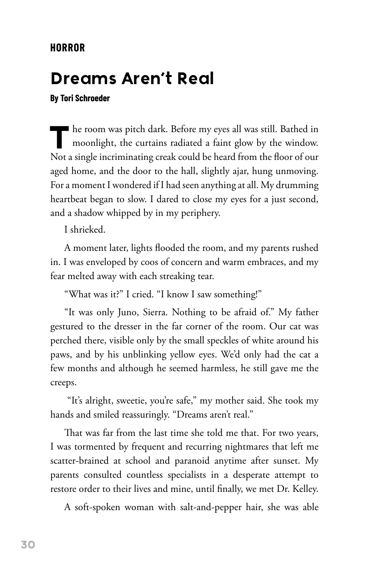## **HORROR**

## **Dreams Aren't Real**

## **By Tori Schroeder**

The room was pitch dark. Before my eyes all was still. Bathed in moonlight, the curtains radiated a faint glow by the window. Not a single incriminating creak could be heard from the floor of our aged home, and the door to the hall, slightly ajar, hung unmoving. For a moment I wondered if I had seen anything at all. My drumming heartbeat began to slow. I dared to close my eyes for a just second, and a shadow whipped by in my periphery.

I shrieked.

A moment later, lights flooded the room, and my parents rushed in. I was enveloped by coos of concern and warm embraces, and my fear melted away with each streaking tear.

"What was it?" I cried. "I know I saw something!"

"It was only Juno, Sierra. Nothing to be afraid of." My father gestured to the dresser in the far corner of the room. Our cat was perched there, visible only by the small speckles of white around his paws, and by his unblinking yellow eyes. We'd only had the cat a few months and although he seemed harmless, he still gave me the creeps.

 "It's alright, sweetie, you're safe," my mother said. She took my hands and smiled reassuringly. "Dreams aren't real."

That was far from the last time she told me that. For two years, I was tormented by frequent and recurring nightmares that left me scatter-brained at school and paranoid anytime after sunset. My parents consulted countless specialists in a desperate attempt to restore order to their lives and mine, until finally, we met Dr. Kelley.

A soft-spoken woman with salt-and-pepper hair, she was able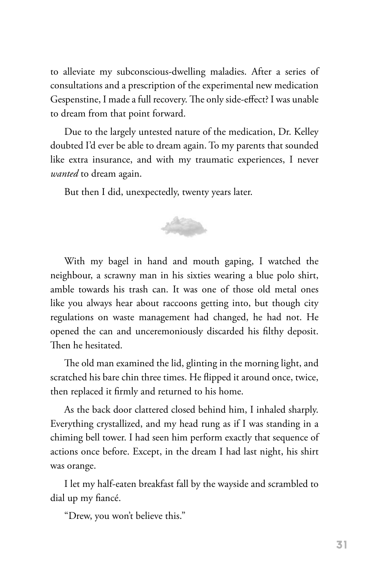to alleviate my subconscious-dwelling maladies. After a series of consultations and a prescription of the experimental new medication Gespenstine, I made a full recovery. The only side-effect? I was unable to dream from that point forward.

Due to the largely untested nature of the medication, Dr. Kelley doubted I'd ever be able to dream again. To my parents that sounded like extra insurance, and with my traumatic experiences, I never *wanted* to dream again.

But then I did, unexpectedly, twenty years later.



With my bagel in hand and mouth gaping, I watched the neighbour, a scrawny man in his sixties wearing a blue polo shirt, amble towards his trash can. It was one of those old metal ones like you always hear about raccoons getting into, but though city regulations on waste management had changed, he had not. He opened the can and unceremoniously discarded his filthy deposit. Then he hesitated.

The old man examined the lid, glinting in the morning light, and scratched his bare chin three times. He flipped it around once, twice, then replaced it firmly and returned to his home.

As the back door clattered closed behind him, I inhaled sharply. Everything crystallized, and my head rung as if I was standing in a chiming bell tower. I had seen him perform exactly that sequence of actions once before. Except, in the dream I had last night, his shirt was orange.

I let my half-eaten breakfast fall by the wayside and scrambled to dial up my fiancé.

"Drew, you won't believe this."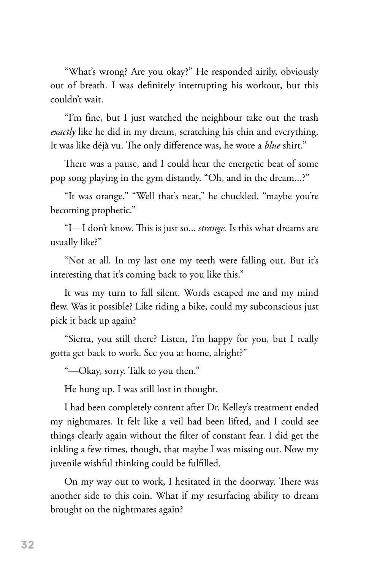"What's wrong? Are you okay?" He responded airily, obviously out of breath. I was definitely interrupting his workout, but this couldn't wait.

"I'm fine, but I just watched the neighbour take out the trash *exactly* like he did in my dream, scratching his chin and everything. It was like déjà vu. The only difference was, he wore a *blue* shirt."

There was a pause, and I could hear the energetic beat of some pop song playing in the gym distantly. "Oh, and in the dream...?"

"It was orange." "Well that's neat," he chuckled, "maybe you're becoming prophetic."

"I—I don't know. This is just so... *strange.* Is this what dreams are usually like?"

"Not at all. In my last one my teeth were falling out. But it's interesting that it's coming back to you like this."

It was my turn to fall silent. Words escaped me and my mind flew. Was it possible? Like riding a bike, could my subconscious just pick it back up again?

"Sierra, you still there? Listen, I'm happy for you, but I really gotta get back to work. See you at home, alright?"

"—Okay, sorry. Talk to you then."

He hung up. I was still lost in thought.

I had been completely content after Dr. Kelley's treatment ended my nightmares. It felt like a veil had been lifted, and I could see things clearly again without the filter of constant fear. I did get the inkling a few times, though, that maybe I was missing out. Now my juvenile wishful thinking could be fulfilled.

On my way out to work, I hesitated in the doorway. There was another side to this coin. What if my resurfacing ability to dream brought on the nightmares again?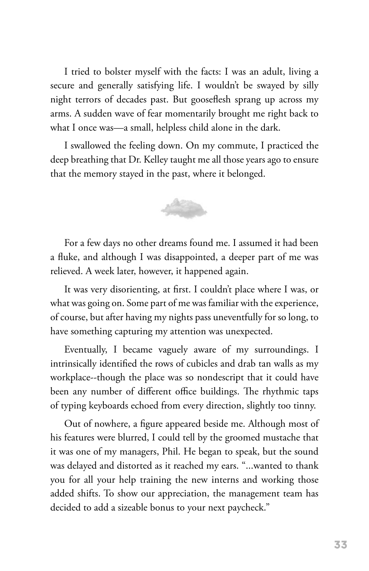I tried to bolster myself with the facts: I was an adult, living a secure and generally satisfying life. I wouldn't be swayed by silly night terrors of decades past. But gooseflesh sprang up across my arms. A sudden wave of fear momentarily brought me right back to what I once was—a small, helpless child alone in the dark.

I swallowed the feeling down. On my commute, I practiced the deep breathing that Dr. Kelley taught me all those years ago to ensure that the memory stayed in the past, where it belonged.



For a few days no other dreams found me. I assumed it had been a fluke, and although I was disappointed, a deeper part of me was relieved. A week later, however, it happened again.

It was very disorienting, at first. I couldn't place where I was, or what was going on. Some part of me was familiar with the experience, of course, but after having my nights pass uneventfully for so long, to have something capturing my attention was unexpected.

Eventually, I became vaguely aware of my surroundings. I intrinsically identified the rows of cubicles and drab tan walls as my workplace--though the place was so nondescript that it could have been any number of different office buildings. The rhythmic taps of typing keyboards echoed from every direction, slightly too tinny.

Out of nowhere, a figure appeared beside me. Although most of his features were blurred, I could tell by the groomed mustache that it was one of my managers, Phil. He began to speak, but the sound was delayed and distorted as it reached my ears. "...wanted to thank you for all your help training the new interns and working those added shifts. To show our appreciation, the management team has decided to add a sizeable bonus to your next paycheck."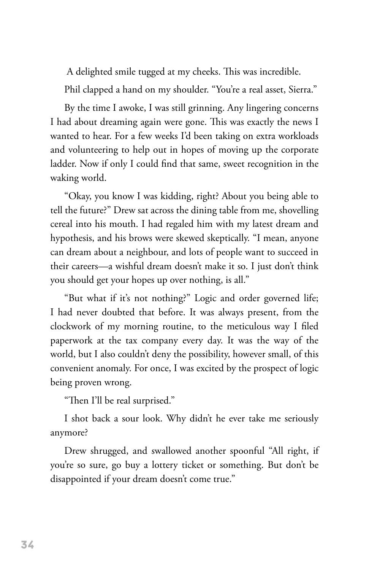A delighted smile tugged at my cheeks. This was incredible.

Phil clapped a hand on my shoulder. "You're a real asset, Sierra."

By the time I awoke, I was still grinning. Any lingering concerns I had about dreaming again were gone. This was exactly the news I wanted to hear. For a few weeks I'd been taking on extra workloads and volunteering to help out in hopes of moving up the corporate ladder. Now if only I could find that same, sweet recognition in the waking world.

"Okay, you know I was kidding, right? About you being able to tell the future?" Drew sat across the dining table from me, shovelling cereal into his mouth. I had regaled him with my latest dream and hypothesis, and his brows were skewed skeptically. "I mean, anyone can dream about a neighbour, and lots of people want to succeed in their careers—a wishful dream doesn't make it so. I just don't think you should get your hopes up over nothing, is all."

"But what if it's not nothing?" Logic and order governed life; I had never doubted that before. It was always present, from the clockwork of my morning routine, to the meticulous way I filed paperwork at the tax company every day. It was the way of the world, but I also couldn't deny the possibility, however small, of this convenient anomaly. For once, I was excited by the prospect of logic being proven wrong.

"Then I'll be real surprised."

I shot back a sour look. Why didn't he ever take me seriously anymore?

Drew shrugged, and swallowed another spoonful "All right, if you're so sure, go buy a lottery ticket or something. But don't be disappointed if your dream doesn't come true."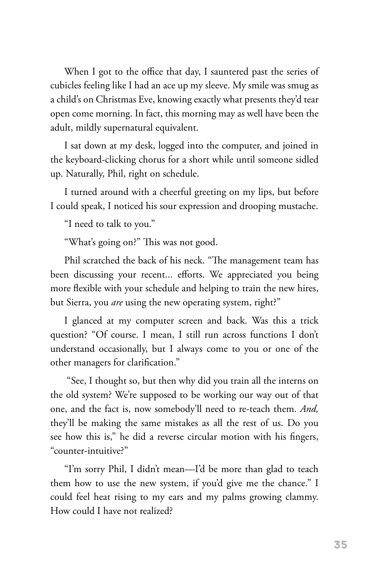When I got to the office that day, I sauntered past the series of cubicles feeling like I had an ace up my sleeve. My smile was smug as a child's on Christmas Eve, knowing exactly what presents they'd tear open come morning. In fact, this morning may as well have been the adult, mildly supernatural equivalent.

I sat down at my desk, logged into the computer, and joined in the keyboard-clicking chorus for a short while until someone sidled up. Naturally, Phil, right on schedule.

I turned around with a cheerful greeting on my lips, but before I could speak, I noticed his sour expression and drooping mustache.

"I need to talk to you."

"What's going on?" This was not good.

Phil scratched the back of his neck. "The management team has been discussing your recent... efforts. We appreciated you being more flexible with your schedule and helping to train the new hires, but Sierra, you *are* using the new operating system, right?"

I glanced at my computer screen and back. Was this a trick question? "Of course. I mean, I still run across functions I don't understand occasionally, but I always come to you or one of the other managers for clarification."

 "See, I thought so, but then why did you train all the interns on the old system? We're supposed to be working our way out of that one, and the fact is, now somebody'll need to re-teach them. *And,*  they'll be making the same mistakes as all the rest of us. Do you see how this is," he did a reverse circular motion with his fingers, "counter-intuitive?"

"I'm sorry Phil, I didn't mean—I'd be more than glad to teach them how to use the new system, if you'd give me the chance." I could feel heat rising to my ears and my palms growing clammy. How could I have not realized?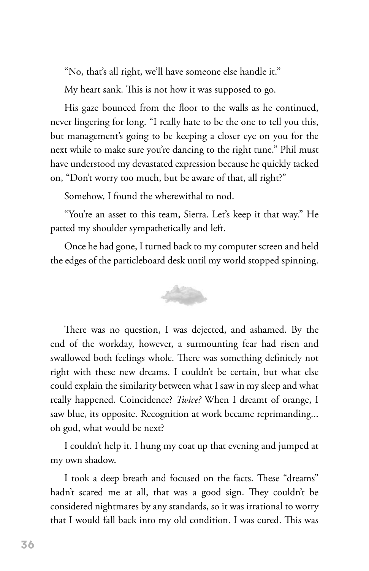"No, that's all right, we'll have someone else handle it."

My heart sank. This is not how it was supposed to go.

His gaze bounced from the floor to the walls as he continued, never lingering for long. "I really hate to be the one to tell you this, but management's going to be keeping a closer eye on you for the next while to make sure you're dancing to the right tune." Phil must have understood my devastated expression because he quickly tacked on, "Don't worry too much, but be aware of that, all right?"

Somehow, I found the wherewithal to nod.

"You're an asset to this team, Sierra. Let's keep it that way." He patted my shoulder sympathetically and left.

Once he had gone, I turned back to my computer screen and held the edges of the particleboard desk until my world stopped spinning.



There was no question, I was dejected, and ashamed. By the end of the workday, however, a surmounting fear had risen and swallowed both feelings whole. There was something definitely not right with these new dreams. I couldn't be certain, but what else could explain the similarity between what I saw in my sleep and what really happened. Coincidence? *Twice?* When I dreamt of orange, I saw blue, its opposite. Recognition at work became reprimanding... oh god, what would be next?

I couldn't help it. I hung my coat up that evening and jumped at my own shadow.

I took a deep breath and focused on the facts. These "dreams" hadn't scared me at all, that was a good sign. They couldn't be considered nightmares by any standards, so it was irrational to worry that I would fall back into my old condition. I was cured. This was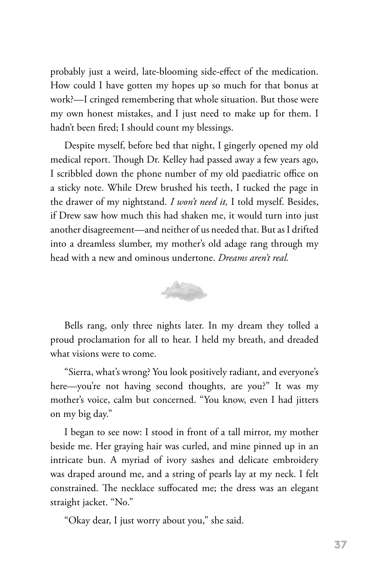probably just a weird, late-blooming side-effect of the medication. How could I have gotten my hopes up so much for that bonus at work?—I cringed remembering that whole situation. But those were my own honest mistakes, and I just need to make up for them. I hadn't been fired; I should count my blessings.

Despite myself, before bed that night, I gingerly opened my old medical report. Though Dr. Kelley had passed away a few years ago, I scribbled down the phone number of my old paediatric office on a sticky note. While Drew brushed his teeth, I tucked the page in the drawer of my nightstand. *I won't need it,* I told myself. Besides, if Drew saw how much this had shaken me, it would turn into just another disagreement—and neither of us needed that. But as I drifted into a dreamless slumber, my mother's old adage rang through my head with a new and ominous undertone. *Dreams aren't real.*



Bells rang, only three nights later. In my dream they tolled a proud proclamation for all to hear. I held my breath, and dreaded what visions were to come.

"Sierra, what's wrong? You look positively radiant, and everyone's here—you're not having second thoughts, are you?" It was my mother's voice, calm but concerned. "You know, even I had jitters on my big day."

I began to see now: I stood in front of a tall mirror, my mother beside me. Her graying hair was curled, and mine pinned up in an intricate bun. A myriad of ivory sashes and delicate embroidery was draped around me, and a string of pearls lay at my neck. I felt constrained. The necklace suffocated me; the dress was an elegant straight jacket. "No."

"Okay dear, I just worry about you," she said.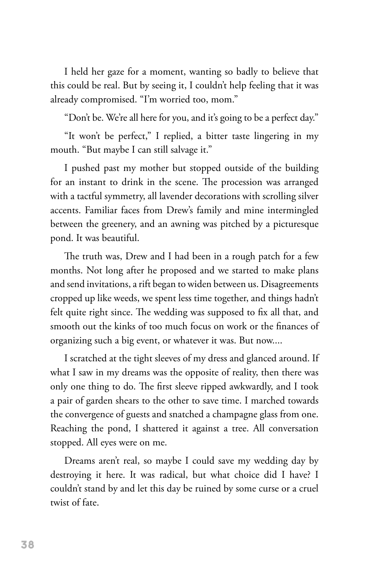I held her gaze for a moment, wanting so badly to believe that this could be real. But by seeing it, I couldn't help feeling that it was already compromised. "I'm worried too, mom."

"Don't be. We're all here for you, and it's going to be a perfect day."

"It won't be perfect," I replied, a bitter taste lingering in my mouth. "But maybe I can still salvage it."

I pushed past my mother but stopped outside of the building for an instant to drink in the scene. The procession was arranged with a tactful symmetry, all lavender decorations with scrolling silver accents. Familiar faces from Drew's family and mine intermingled between the greenery, and an awning was pitched by a picturesque pond. It was beautiful.

The truth was, Drew and I had been in a rough patch for a few months. Not long after he proposed and we started to make plans and send invitations, a rift began to widen between us. Disagreements cropped up like weeds, we spent less time together, and things hadn't felt quite right since. The wedding was supposed to fix all that, and smooth out the kinks of too much focus on work or the finances of organizing such a big event, or whatever it was. But now....

I scratched at the tight sleeves of my dress and glanced around. If what I saw in my dreams was the opposite of reality, then there was only one thing to do. The first sleeve ripped awkwardly, and I took a pair of garden shears to the other to save time. I marched towards the convergence of guests and snatched a champagne glass from one. Reaching the pond, I shattered it against a tree. All conversation stopped. All eyes were on me.

Dreams aren't real, so maybe I could save my wedding day by destroying it here. It was radical, but what choice did I have? I couldn't stand by and let this day be ruined by some curse or a cruel twist of fate.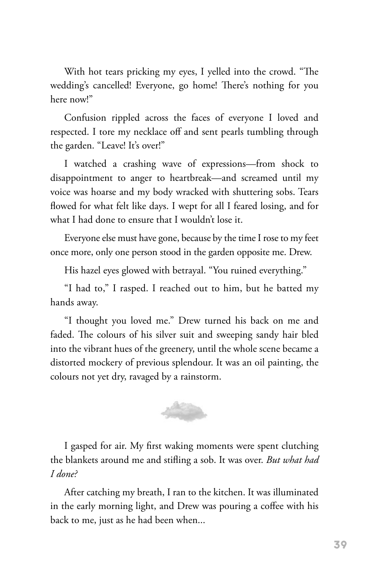With hot tears pricking my eyes, I yelled into the crowd. "The wedding's cancelled! Everyone, go home! There's nothing for you here now!"

Confusion rippled across the faces of everyone I loved and respected. I tore my necklace off and sent pearls tumbling through the garden. "Leave! It's over!"

I watched a crashing wave of expressions—from shock to disappointment to anger to heartbreak—and screamed until my voice was hoarse and my body wracked with shuttering sobs. Tears flowed for what felt like days. I wept for all I feared losing, and for what I had done to ensure that I wouldn't lose it.

Everyone else must have gone, because by the time I rose to my feet once more, only one person stood in the garden opposite me. Drew.

His hazel eyes glowed with betrayal. "You ruined everything."

"I had to," I rasped. I reached out to him, but he batted my hands away.

"I thought you loved me." Drew turned his back on me and faded. The colours of his silver suit and sweeping sandy hair bled into the vibrant hues of the greenery, until the whole scene became a distorted mockery of previous splendour. It was an oil painting, the colours not yet dry, ravaged by a rainstorm.



I gasped for air. My first waking moments were spent clutching the blankets around me and stifling a sob. It was over. *But what had I done?*

After catching my breath, I ran to the kitchen. It was illuminated in the early morning light, and Drew was pouring a coffee with his back to me, just as he had been when...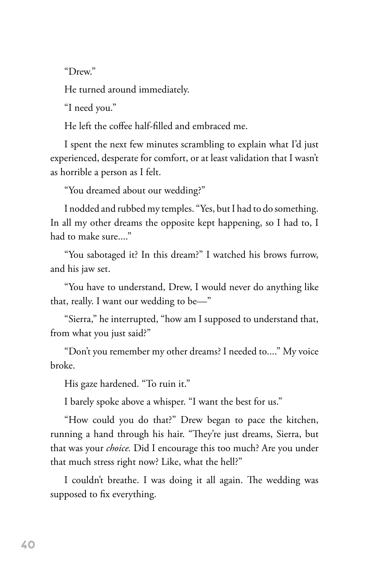"Drew."

He turned around immediately.

"I need you."

He left the coffee half-filled and embraced me.

I spent the next few minutes scrambling to explain what I'd just experienced, desperate for comfort, or at least validation that I wasn't as horrible a person as I felt.

"You dreamed about our wedding?"

I nodded and rubbed my temples. "Yes, but I had to do something. In all my other dreams the opposite kept happening, so I had to, I had to make sure...."

"You sabotaged it? In this dream?" I watched his brows furrow, and his jaw set.

"You have to understand, Drew, I would never do anything like that, really. I want our wedding to be—"

"Sierra," he interrupted, "how am I supposed to understand that, from what you just said?"

"Don't you remember my other dreams? I needed to...." My voice broke.

His gaze hardened. "To ruin it."

I barely spoke above a whisper. "I want the best for us."

"How could you do that?" Drew began to pace the kitchen, running a hand through his hair. "They're just dreams, Sierra, but that was your *choice.* Did I encourage this too much? Are you under that much stress right now? Like, what the hell?"

I couldn't breathe. I was doing it all again. The wedding was supposed to fix everything.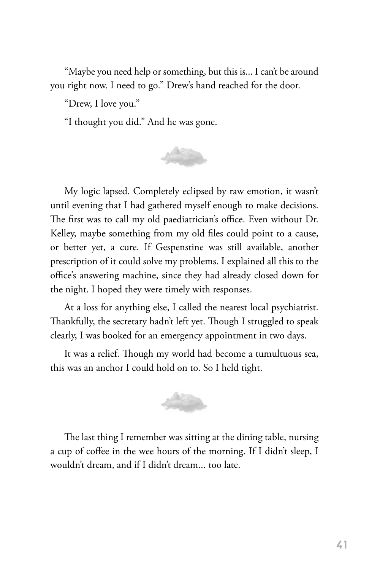"Maybe you need help or something, but this is... I can't be around you right now. I need to go." Drew's hand reached for the door.

"Drew, I love you."

"I thought you did." And he was gone.



My logic lapsed. Completely eclipsed by raw emotion, it wasn't until evening that I had gathered myself enough to make decisions. The first was to call my old paediatrician's office. Even without Dr. Kelley, maybe something from my old files could point to a cause, or better yet, a cure. If Gespenstine was still available, another prescription of it could solve my problems. I explained all this to the office's answering machine, since they had already closed down for the night. I hoped they were timely with responses.

At a loss for anything else, I called the nearest local psychiatrist. Thankfully, the secretary hadn't left yet. Though I struggled to speak clearly, I was booked for an emergency appointment in two days.

It was a relief. Though my world had become a tumultuous sea, this was an anchor I could hold on to. So I held tight.



The last thing I remember was sitting at the dining table, nursing a cup of coffee in the wee hours of the morning. If I didn't sleep, I wouldn't dream, and if I didn't dream... too late.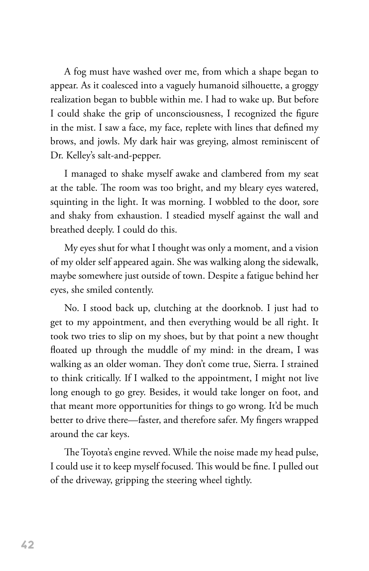A fog must have washed over me, from which a shape began to appear. As it coalesced into a vaguely humanoid silhouette, a groggy realization began to bubble within me. I had to wake up. But before I could shake the grip of unconsciousness, I recognized the figure in the mist. I saw a face, my face, replete with lines that defined my brows, and jowls. My dark hair was greying, almost reminiscent of Dr. Kelley's salt-and-pepper.

I managed to shake myself awake and clambered from my seat at the table. The room was too bright, and my bleary eyes watered, squinting in the light. It was morning. I wobbled to the door, sore and shaky from exhaustion. I steadied myself against the wall and breathed deeply. I could do this.

My eyes shut for what I thought was only a moment, and a vision of my older self appeared again. She was walking along the sidewalk, maybe somewhere just outside of town. Despite a fatigue behind her eyes, she smiled contently.

No. I stood back up, clutching at the doorknob. I just had to get to my appointment, and then everything would be all right. It took two tries to slip on my shoes, but by that point a new thought floated up through the muddle of my mind: in the dream, I was walking as an older woman. They don't come true, Sierra. I strained to think critically. If I walked to the appointment, I might not live long enough to go grey. Besides, it would take longer on foot, and that meant more opportunities for things to go wrong. It'd be much better to drive there—faster, and therefore safer. My fingers wrapped around the car keys.

The Toyota's engine revved. While the noise made my head pulse, I could use it to keep myself focused. This would be fine. I pulled out of the driveway, gripping the steering wheel tightly.